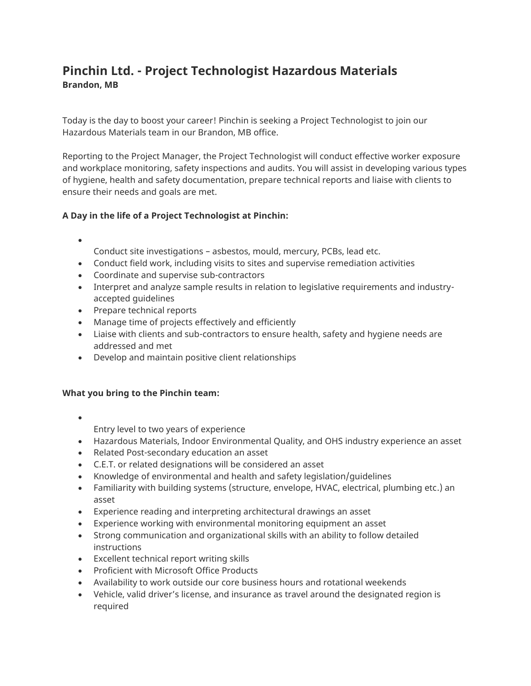# **Pinchin Ltd. - Project Technologist Hazardous Materials Brandon, MB**

Today is the day to boost your career! Pinchin is seeking a Project Technologist to join our Hazardous Materials team in our Brandon, MB office.

Reporting to the Project Manager, the Project Technologist will conduct effective worker exposure and workplace monitoring, safety inspections and audits. You will assist in developing various types of hygiene, health and safety documentation, prepare technical reports and liaise with clients to ensure their needs and goals are met.

# **A Day in the life of a Project Technologist at Pinchin:**

- Conduct site investigations – asbestos, mould, mercury, PCBs, lead etc.
- Conduct field work, including visits to sites and supervise remediation activities
- Coordinate and supervise sub-contractors
- Interpret and analyze sample results in relation to legislative requirements and industryaccepted guidelines
- Prepare technical reports
- Manage time of projects effectively and efficiently
- Liaise with clients and sub-contractors to ensure health, safety and hygiene needs are addressed and met
- Develop and maintain positive client relationships

## **What you bring to the Pinchin team:**

•

Entry level to two years of experience

- Hazardous Materials, Indoor Environmental Quality, and OHS industry experience an asset
- Related Post-secondary education an asset
- C.E.T. or related designations will be considered an asset
- Knowledge of environmental and health and safety legislation/guidelines
- Familiarity with building systems (structure, envelope, HVAC, electrical, plumbing etc.) an asset
- Experience reading and interpreting architectural drawings an asset
- Experience working with environmental monitoring equipment an asset
- Strong communication and organizational skills with an ability to follow detailed instructions
- Excellent technical report writing skills
- Proficient with Microsoft Office Products
- Availability to work outside our core business hours and rotational weekends
- Vehicle, valid driver's license, and insurance as travel around the designated region is required